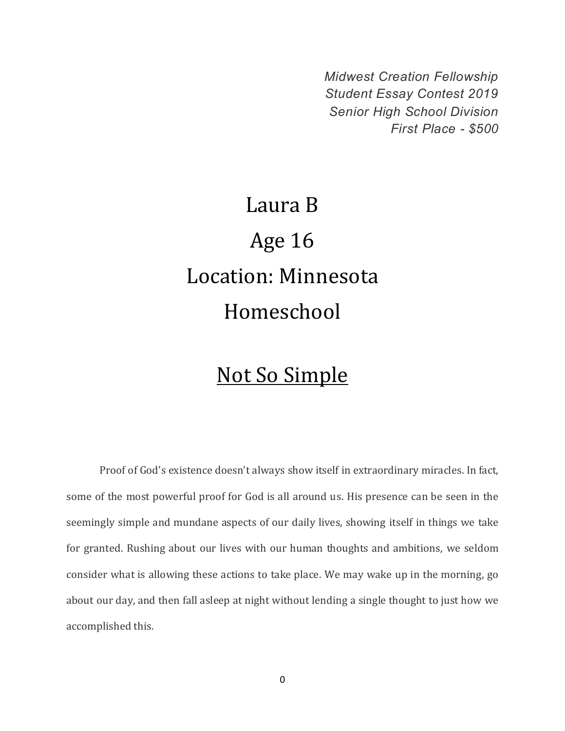*Midwest Creation Fellowship Student Essay Contest 2019 Senior High School Division First Place - \$500*

## Laura B Age 16 Location: Minnesota Homeschool

## Not So Simple

Proof of God's existence doesn't always show itself in extraordinary miracles. In fact, some of the most powerful proof for God is all around us. His presence can be seen in the seemingly simple and mundane aspects of our daily lives, showing itself in things we take for granted. Rushing about our lives with our human thoughts and ambitions, we seldom consider what is allowing these actions to take place. We may wake up in the morning, go about our day, and then fall asleep at night without lending a single thought to just how we accomplished this.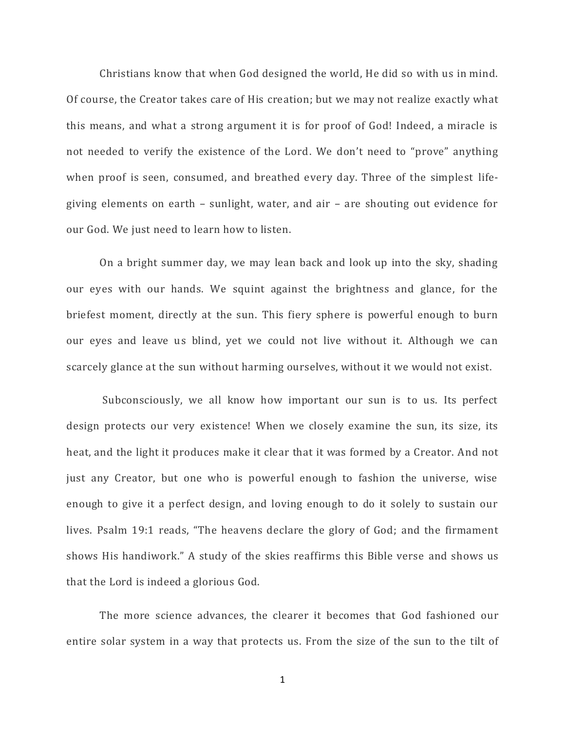Christians know that when God designed the world, He did so with us in mind. Of course, the Creator takes care of His creation; but we may not realize exactly what this means, and what a strong argument it is for proof of God! Indeed, a miracle is not needed to verify the existence of the Lord. We don't need to "prove" anything when proof is seen, consumed, and breathed every day. Three of the simplest lifegiving elements on earth – sunlight, water, and air – are shouting out evidence for our God. We just need to learn how to listen.

On a bright summer day, we may lean back and look up into the sky, shading our eyes with our hands. We squint against the brightness and glance, for the briefest moment, directly at the sun. This fiery sphere is powerful enough to burn our eyes and leave us blind, yet we could not live without it. Although we can scarcely glance at the sun without harming ourselves, without it we would not exist.

Subconsciously, we all know how important our sun is to us. Its perfect design protects our very existence! When we closely examine the sun, its size, its heat, and the light it produces make it clear that it was formed by a Creator. And not just any Creator, but one who is powerful enough to fashion the universe, wise enough to give it a perfect design, and loving enough to do it solely to sustain our lives. Psalm 19:1 reads, "The heavens declare the glory of God; and the firmament shows His handiwork." A study of the skies reaffirms this Bible verse and shows us that the Lord is indeed a glorious God.

The more science advances, the clearer it becomes that God fashioned our entire solar system in a way that protects us. From the size of the sun to the tilt of

1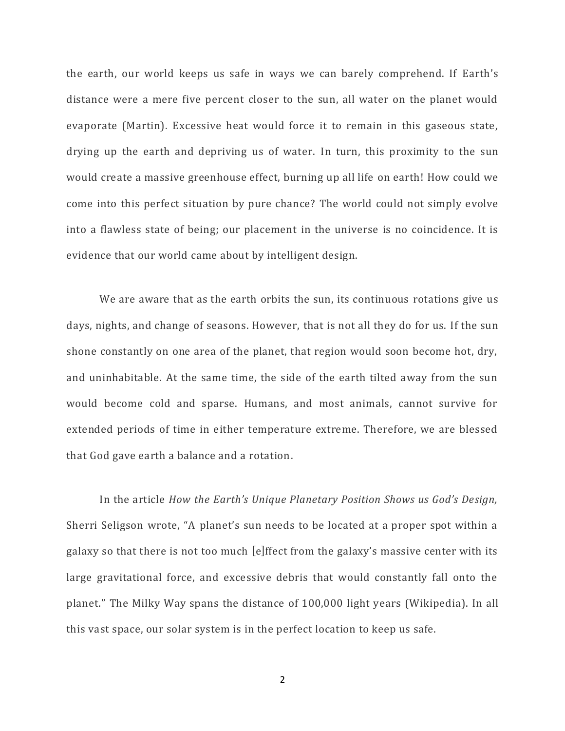the earth, our world keeps us safe in ways we can barely comprehend. If Earth's distance were a mere five percent closer to the sun, all water on the planet would evaporate (Martin). Excessive heat would force it to remain in this gaseous state, drying up the earth and depriving us of water. In turn, this proximity to the sun would create a massive greenhouse effect, burning up all life on earth! How could we come into this perfect situation by pure chance? The world could not simply evolve into a flawless state of being; our placement in the universe is no coincidence. It is evidence that our world came about by intelligent design.

We are aware that as the earth orbits the sun, its continuous rotations give us days, nights, and change of seasons. However, that is not all they do for us. If the sun shone constantly on one area of the planet, that region would soon become hot, dry, and uninhabitable. At the same time, the side of the earth tilted away from the sun would become cold and sparse. Humans, and most animals, cannot survive for extended periods of time in either temperature extreme. Therefore, we are blessed that God gave earth a balance and a rotation.

In the article *How the Earth's Unique Planetary Position Shows us God's Design,* Sherri Seligson wrote, "A planet's sun needs to be located at a proper spot within a galaxy so that there is not too much [e]ffect from the galaxy's massive center with its large gravitational force, and excessive debris that would constantly fall onto the planet." The Milky Way spans the distance of 100,000 light years (Wikipedia). In all this vast space, our solar system is in the perfect location to keep us safe.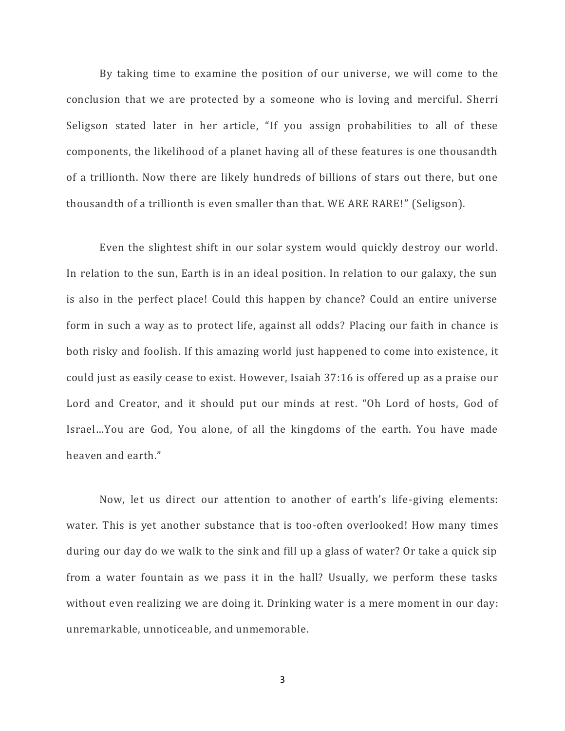By taking time to examine the position of our universe, we will come to the conclusion that we are protected by a someone who is loving and merciful. Sherri Seligson stated later in her article, "If you assign probabilities to all of these components, the likelihood of a planet having all of these features is one thousandth of a trillionth. Now there are likely hundreds of billions of stars out there, but one thousandth of a trillionth is even smaller than that. WE ARE RARE!" (Seligson).

Even the slightest shift in our solar system would quickly destroy our world. In relation to the sun, Earth is in an ideal position. In relation to our galaxy, the sun is also in the perfect place! Could this happen by chance? Could an entire universe form in such a way as to protect life, against all odds? Placing our faith in chance is both risky and foolish. If this amazing world just happened to come into existence, it could just as easily cease to exist. However, Isaiah 37:16 is offered up as a praise our Lord and Creator, and it should put our minds at rest. "Oh Lord of hosts, God of Israel…You are God, You alone, of all the kingdoms of the earth. You have made heaven and earth."

Now, let us direct our attention to another of earth's life-giving elements: water. This is yet another substance that is too-often overlooked! How many times during our day do we walk to the sink and fill up a glass of water? Or take a quick sip from a water fountain as we pass it in the hall? Usually, we perform these tasks without even realizing we are doing it. Drinking water is a mere moment in our day: unremarkable, unnoticeable, and unmemorable.

3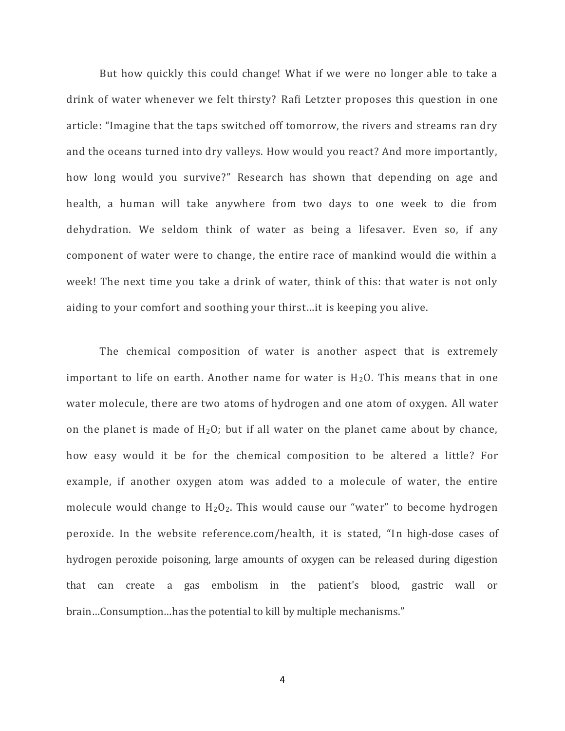But how quickly this could change! What if we were no longer able to take a drink of water whenever we felt thirsty? Rafi Letzter proposes this question in one article: "Imagine that the taps switched off tomorrow, the rivers and streams ran dry and the oceans turned into dry valleys. How would you react? And more importantly, how long would you survive?" Research has shown that depending on age and health, a human will take anywhere from two days to one week to die from dehydration. We seldom think of water as being a lifesaver. Even so, if any component of water were to change, the entire race of mankind would die within a week! The next time you take a drink of water, think of this: that water is not only aiding to your comfort and soothing your thirst…it is keeping you alive.

The chemical composition of water is another aspect that is extremely important to life on earth. Another name for water is  $H_2O$ . This means that in one water molecule, there are two atoms of hydrogen and one atom of oxygen. All water on the planet is made of  $H_2O$ ; but if all water on the planet came about by chance, how easy would it be for the chemical composition to be altered a little? For example, if another oxygen atom was added to a molecule of water, the entire molecule would change to  $H_2O_2$ . This would cause our "water" to become hydrogen peroxide. In the website reference.com/health, it is stated, "In high-dose cases of hydrogen peroxide poisoning, large amounts of oxygen can be released during digestion that can create a gas embolism in the patient's blood, gastric wall or brain…Consumption…has the potential to kill by multiple mechanisms."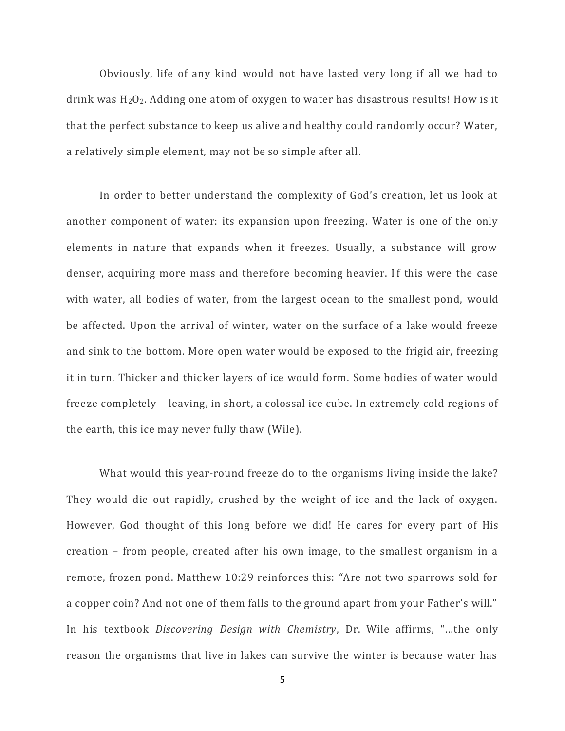Obviously, life of any kind would not have lasted very long if all we had to drink was  $H_2O_2$ . Adding one atom of oxygen to water has disastrous results! How is it that the perfect substance to keep us alive and healthy could randomly occur? Water, a relatively simple element, may not be so simple after all.

In order to better understand the complexity of God's creation, let us look at another component of water: its expansion upon freezing. Water is one of the only elements in nature that expands when it freezes. Usually, a substance will grow denser, acquiring more mass and therefore becoming heavier. If this were the case with water, all bodies of water, from the largest ocean to the smallest pond, would be affected. Upon the arrival of winter, water on the surface of a lake would freeze and sink to the bottom. More open water would be exposed to the frigid air, freezing it in turn. Thicker and thicker layers of ice would form. Some bodies of water would freeze completely – leaving, in short, a colossal ice cube. In extremely cold regions of the earth, this ice may never fully thaw (Wile).

What would this year-round freeze do to the organisms living inside the lake? They would die out rapidly, crushed by the weight of ice and the lack of oxygen. However, God thought of this long before we did! He cares for every part of His creation – from people, created after his own image, to the smallest organism in a remote, frozen pond. Matthew 10:29 reinforces this: "Are not two sparrows sold for a copper coin? And not one of them falls to the ground apart from your Father's will." In his textbook *Discovering Design with Chemistry*, Dr. Wile affirms, "…the only reason the organisms that live in lakes can survive the winter is because water has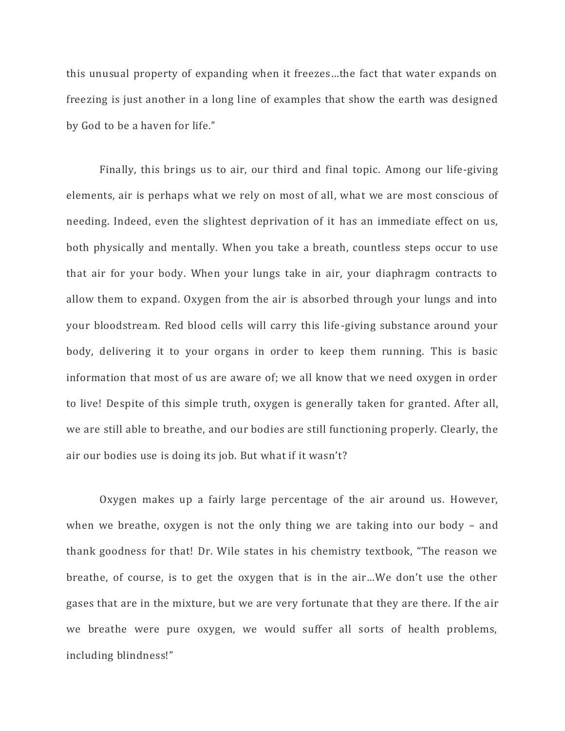this unusual property of expanding when it freezes…the fact that water expands on freezing is just another in a long line of examples that show the earth was designed by God to be a haven for life."

Finally, this brings us to air, our third and final topic. Among our life-giving elements, air is perhaps what we rely on most of all, what we are most conscious of needing. Indeed, even the slightest deprivation of it has an immediate effect on us, both physically and mentally. When you take a breath, countless steps occur to use that air for your body. When your lungs take in air, your diaphragm contracts to allow them to expand. Oxygen from the air is absorbed through your lungs and into your bloodstream. Red blood cells will carry this life-giving substance around your body, delivering it to your organs in order to keep them running. This is basic information that most of us are aware of; we all know that we need oxygen in order to live! Despite of this simple truth, oxygen is generally taken for granted. After all, we are still able to breathe, and our bodies are still functioning properly. Clearly, the air our bodies use is doing its job. But what if it wasn't?

Oxygen makes up a fairly large percentage of the air around us. However, when we breathe, oxygen is not the only thing we are taking into our body – and thank goodness for that! Dr. Wile states in his chemistry textbook, "The reason we breathe, of course, is to get the oxygen that is in the air…We don't use the other gases that are in the mixture, but we are very fortunate that they are there. If the air we breathe were pure oxygen, we would suffer all sorts of health problems, including blindness!"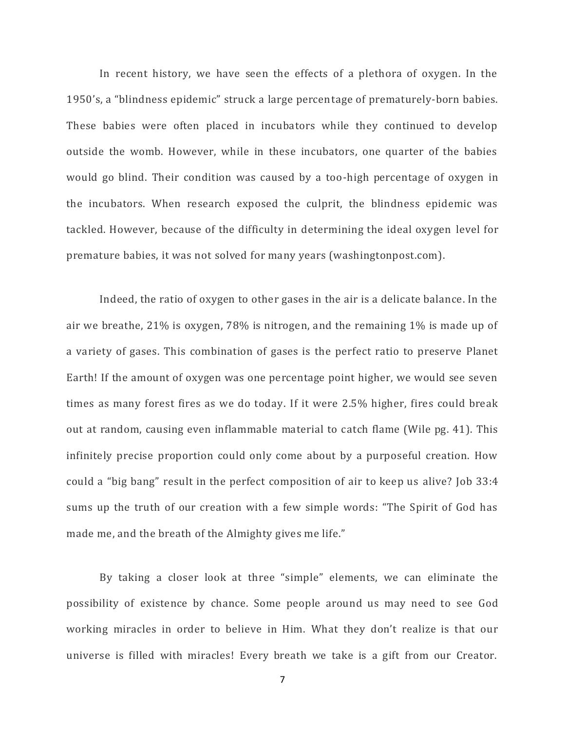In recent history, we have seen the effects of a plethora of oxygen. In the 1950's, a "blindness epidemic" struck a large percentage of prematurely-born babies. These babies were often placed in incubators while they continued to develop outside the womb. However, while in these incubators, one quarter of the babies would go blind. Their condition was caused by a too-high percentage of oxygen in the incubators. When research exposed the culprit, the blindness epidemic was tackled. However, because of the difficulty in determining the ideal oxygen level for premature babies, it was not solved for many years (washingtonpost.com).

Indeed, the ratio of oxygen to other gases in the air is a delicate balance. In the air we breathe, 21% is oxygen, 78% is nitrogen, and the remaining 1% is made up of a variety of gases. This combination of gases is the perfect ratio to preserve Planet Earth! If the amount of oxygen was one percentage point higher, we would see seven times as many forest fires as we do today. If it were 2.5% higher, fires could break out at random, causing even inflammable material to catch flame (Wile pg. 41). This infinitely precise proportion could only come about by a purposeful creation. How could a "big bang" result in the perfect composition of air to keep us alive? Job 33:4 sums up the truth of our creation with a few simple words: "The Spirit of God has made me, and the breath of the Almighty gives me life."

By taking a closer look at three "simple" elements, we can eliminate the possibility of existence by chance. Some people around us may need to see God working miracles in order to believe in Him. What they don't realize is that our universe is filled with miracles! Every breath we take is a gift from our Creator.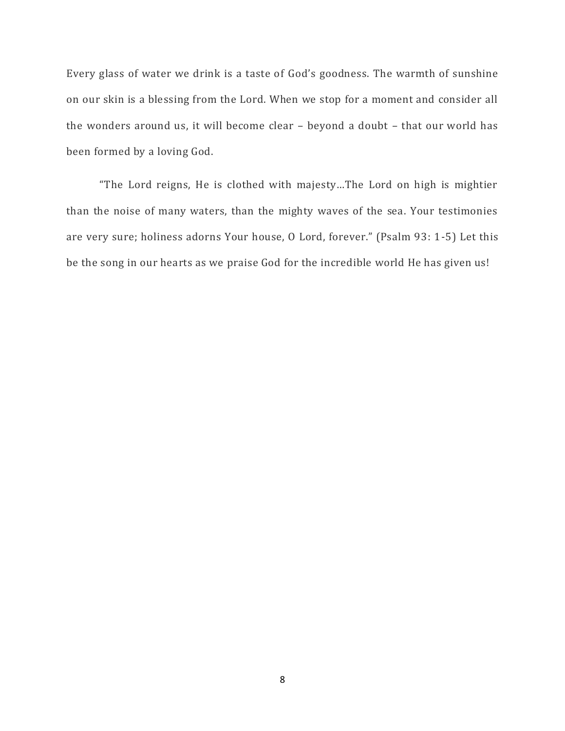Every glass of water we drink is a taste of God's goodness. The warmth of sunshine on our skin is a blessing from the Lord. When we stop for a moment and consider all the wonders around us, it will become clear – beyond a doubt – that our world has been formed by a loving God.

"The Lord reigns, He is clothed with majesty…The Lord on high is mightier than the noise of many waters, than the mighty waves of the sea. Your testimonies are very sure; holiness adorns Your house, O Lord, forever." (Psalm 93: 1-5) Let this be the song in our hearts as we praise God for the incredible world He has given us!